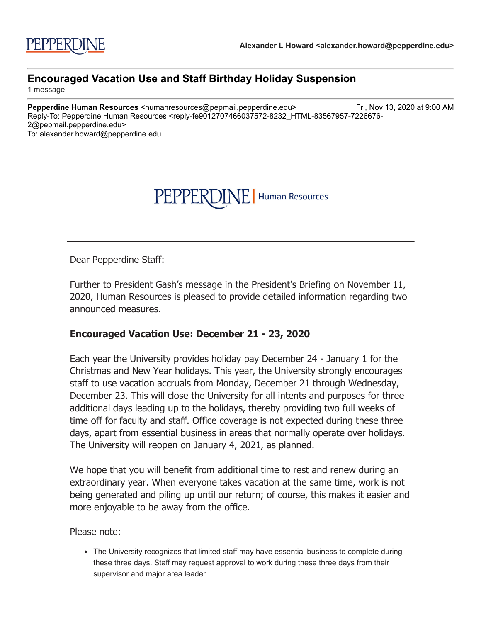## PEPPERDI  $\sqrt{E}$  Human Resources

Dear Pepperdine Staff:

Further to President Gash's message in the President's Briefing on November 11, 2020, Human Resources is pleased to provide detailed information regarding two announced measures.

## **Encouraged Vacation Use: December 21 - 23, 2020**

Each year the University provides holiday pay December 24 - January 1 for the Christmas and New Year holidays. This year, the University strongly encourages staff to use vacation accruals from Monday, December 21 through Wednesday, December 23. This will close the University for all intents and purposes for three additional days leading up to the holidays, thereby providing two full weeks of time off for faculty and staff. Office coverage is not expected during these three days, apart from essential business in areas that normally operate over holidays. The University will reopen on January 4, 2021, as planned.

We hope that you will benefit from additional time to rest and renew during an extraordinary year. When everyone takes vacation at the same time, work is not being generated and piling up until our return; of course, this makes it easier and more enjoyable to be away from the office.

Please note:

• The University recognizes that limited staff may have essential business to complete during these three days. Staff may request approval to work during these three days from their supervisor and major area leader.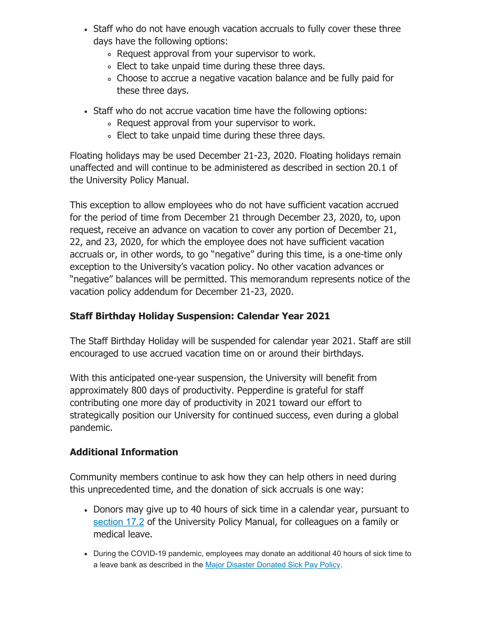- Staff who do not have enough vacation accruals to fully cover these three days have the following options:
	- Request approval from your supervisor to work.
	- Elect to take unpaid time during these three days.
	- Choose to accrue a negative vacation balance and be fully paid for these three days.
- Staff who do not accrue vacation time have the following options:
	- Request approval from your supervisor to work.
	- Elect to take unpaid time during these three days.

Floating holidays may be used December 21-23, 2020. Floating holidays remain unaffected and will continue to be administered as described in section 20.1 of the University Policy Manual.

This exception to allow employees who do not have sufficient vacation accrued for the period of time from December 21 through December 23, 2020, to, upon request, receive an advance on vacation to cover any portion of December 21, 22, and 23, 2020, for which the employee does not have sufficient vacation accruals or, in other words, to go "negative" during this time, is a one-time only exception to the University's vacation policy. No other vacation advances or "negative" balances will be permitted. This memorandum represents notice of the vacation policy addendum for December 21-23, 2020.

## **Staff Birthday Holiday Suspension: Calendar Year 2021**

The Staff Birthday Holiday will be suspended for calendar year 2021. Staff are still encouraged to use accrued vacation time on or around their birthdays.

With this anticipated one-year suspension, the University will benefit from approximately 800 days of productivity. Pepperdine is grateful for staff contributing one more day of productivity in 2021 toward our effort to strategically position our University for continued success, even during a global pandemic.

## **Additional Information**

Community members continue to ask how they can help others in need during this unprecedented time, and the donation of sick accruals is one way:

- Donors may give up to 40 hours of sick time in a calendar year, pursuant to [section 17.2](http://click.pepmail.pepperdine.edu/?qs=521927a7af31dfe01dbdf49fb921e7142175126b507ad51c6e3ce183054ddf10d8f53990e6c240ae4aab56c6f1e4b1c3b1bb9a54ad4c4dae) of the University Policy Manual, for colleagues on a family or medical leave.
- During the COVID-19 pandemic, employees may donate an additional 40 hours of sick time to a leave bank as described in the [Major Disaster Donated Sick Pay Policy](http://click.pepmail.pepperdine.edu/?qs=521927a7af31dfe0682baa011050a3354c26757bf9742e4303c752a8c9874c904430cbd420cd5095c37fd2753e8a92b7a34ba8b1ae095d70).